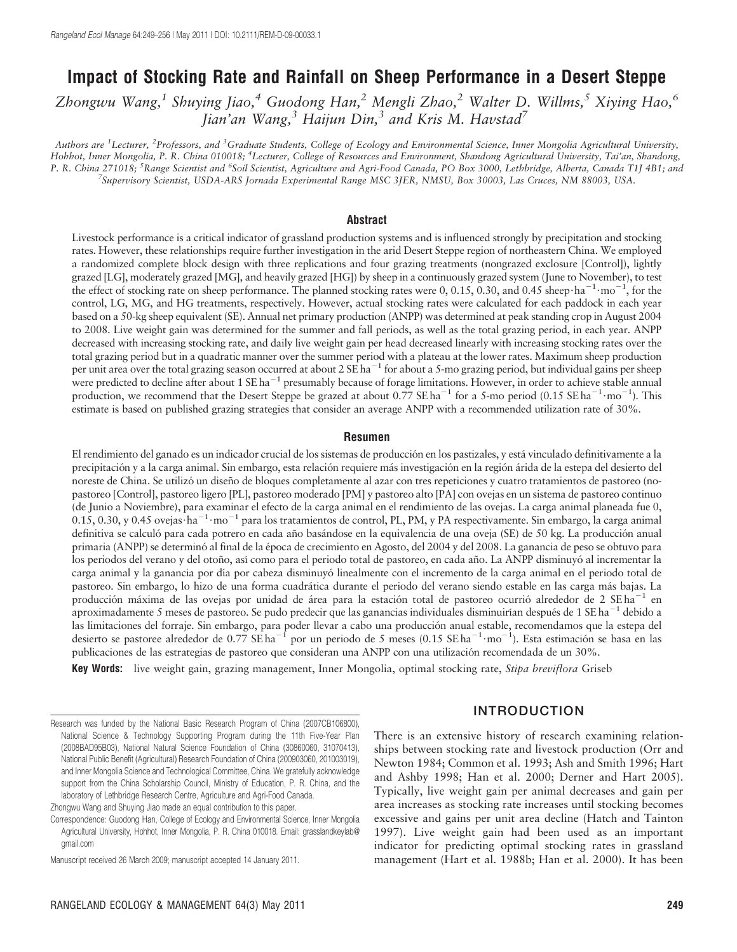# Impact of Stocking Rate and Rainfall on Sheep Performance in a Desert Steppe

Zhongwu Wang,<sup>1</sup> Shuying Jiao,<sup>4</sup> Guodong Han,<sup>2</sup> Mengli Zhao,<sup>2</sup> Walter D. Willms,<sup>5</sup> Xiying Hao,<sup>6</sup> Jian'an Wang,  $3$  Haijun Din,  $3$  and Kris M. Havstad<sup>7</sup>

Authors are <sup>1</sup>Lecturer, <sup>2</sup>Professors, and <sup>3</sup>Graduate Students, College of Ecology and Environmental Science, Inner Mongolia Agricultural University, Hohhot, Inner Mongolia, P. R. China 010018; <sup>4</sup>Lecturer, College of Resources and Environment, Shandong Agricultural University, Tai'an, Shandong, P. R. China 271018; <sup>S</sup>Range Scientist and <sup>6</sup>Soil Scientist, Agriculture and Agri-Food Canada, PO Box 3000, Lethbridge, Alberta, Canada T1J 4B1; and<br><sup>7</sup>Supervisory Scientist, USD A ARS Jornada Experimental Range MSC 3JER, Supervisory Scientist, USDA-ARS Jornada Experimental Range MSC 3JER, NMSU, Box 30003, Las Cruces, NM 88003, USA.

#### Abstract

Livestock performance is a critical indicator of grassland production systems and is influenced strongly by precipitation and stocking rates. However, these relationships require further investigation in the arid Desert Steppe region of northeastern China. We employed a randomized complete block design with three replications and four grazing treatments (nongrazed exclosure [Control]), lightly grazed [LG], moderately grazed [MG], and heavily grazed [HG]) by sheep in a continuously grazed system (June to November), to test the effect of stocking rate on sheep performance. The planned stocking rates were 0, 0.15, 0.30, and 0.45 sheep $\cdot$ ha<sup>-1</sup> $\cdot$ mo<sup>-1</sup>, for the control, LG, MG, and HG treatments, respectively. However, actual stocking rates were calculated for each paddock in each year based on a 50-kg sheep equivalent (SE). Annual net primary production (ANPP) was determined at peak standing crop in August 2004 to 2008. Live weight gain was determined for the summer and fall periods, as well as the total grazing period, in each year. ANPP decreased with increasing stocking rate, and daily live weight gain per head decreased linearly with increasing stocking rates over the total grazing period but in a quadratic manner over the summer period with a plateau at the lower rates. Maximum sheep production per unit area over the total grazing season occurred at about  $2 \text{ SE ha}^{-1}$  for about a 5-mo grazing period, but individual gains per sheep were predicted to decline after about 1 SE ha<sup>-1</sup> presumably because of forage limitations. However, in order to achieve stable annual production, we recommend that the Desert Steppe be grazed at about 0.77 SE ha<sup>-1</sup> for a 5-mo period (0.15 SE ha<sup>-1</sup>·mo<sup>-1</sup>). This estimate is based on published grazing strategies that consider an average ANPP with a recommended utilization rate of 30%.

#### Resumen

El rendimiento del ganado es un indicador crucial de los sistemas de producción en los pastizales, y está vinculado definitivamente a la precipitación y a la carga animal. Sin embargo, esta relación requiere más investigación en la región árida de la estepa del desierto del noreste de China. Se utilizó un diseño de bloques completamente al azar con tres repeticiones y cuatro tratamientos de pastoreo (nopastoreo [Control], pastoreo ligero [PL], pastoreo moderado [PM] y pastoreo alto [PA] con ovejas en un sistema de pastoreo continuo (de Junio a Noviembre), para examinar el efecto de la carga animal en el rendimiento de las ovejas. La carga animal planeada fue 0,  $0.15, 0.30,$  y 0.45 ovejas $\cdot$ ha $^{-1} \cdot$ mo $^{-1}$  para los tratamientos de control, PL, PM, y PA respectivamente. Sin embargo, la carga animal definitiva se calculó para cada potrero en cada año basándose en la equivalencia de una oveja (SE) de 50 kg. La producción anual primaria (ANPP) se determinó al final de la época de crecimiento en Agosto, del 2004 y del 2008. La ganancia de peso se obtuvo para los periodos del verano y del otoño, así como para el periodo total de pastoreo, en cada año. La ANPP disminuyó al incrementar la carga animal y la ganancia por día por cabeza disminuyó linealmente con el incremento de la carga animal en el periodo total de pastoreo. Sin embargo, lo hizo de una forma cuadrática durante el periodo del verano siendo estable en las carga más bajas. La producción máxima de las ovejas por unidad de área para la estación total de pastoreo ocurrió alrededor de 2 SE ha<sup>-1</sup> en aproximadamente 5 meses de pastoreo. Se pudo predecir que las ganancias individuales disminuirían después de 1 SE ha<sup>-1</sup> debido a las limitaciones del forraje. Sin embargo, para poder llevar a cabo una producción anual estable, recomendamos que la estepa del desierto se pastoree alrededor de 0.77 SE ha<sup>-1</sup> por un periodo de 5 meses (0.15 SE ha<sup>-1</sup>·mo<sup>-1</sup>). Esta estimación se basa en las publicaciones de las estrategias de pastoreo que consideran una ANPP con una utilización recomendada de un 30%.

Key Words: live weight gain, grazing management, Inner Mongolia, optimal stocking rate, Stipa breviflora Griseb

## INTRODUCTION

There is an extensive history of research examining relationships between stocking rate and livestock production (Orr and Newton 1984; Common et al. 1993; Ash and Smith 1996; Hart and Ashby 1998; Han et al. 2000; Derner and Hart 2005). Typically, live weight gain per animal decreases and gain per area increases as stocking rate increases until stocking becomes excessive and gains per unit area decline (Hatch and Tainton 1997). Live weight gain had been used as an important indicator for predicting optimal stocking rates in grassland management (Hart et al. 1988b; Han et al. 2000). It has been

Research was funded by the National Basic Research Program of China (2007CB106800), National Science & Technology Supporting Program during the 11th Five-Year Plan (2008BAD95B03), National Natural Science Foundation of China (30860060, 31070413), National Public Benefit (Agricultural) Research Foundation of China (200903060, 201003019), and Inner Mongolia Science and Technological Committee, China. We gratefully acknowledge support from the China Scholarship Council, Ministry of Education, P. R. China, and the laboratory of Lethbridge Research Centre, Agriculture and Agri-Food Canada.

Zhongwu Wang and Shuying Jiao made an equal contribution to this paper.

Correspondence: Guodong Han, College of Ecology and Environmental Science, Inner Mongolia Agricultural University, Hohhot, Inner Mongolia, P. R. China 010018. Email: grasslandkeylab@ gmail.com

Manuscript received 26 March 2009; manuscript accepted 14 January 2011.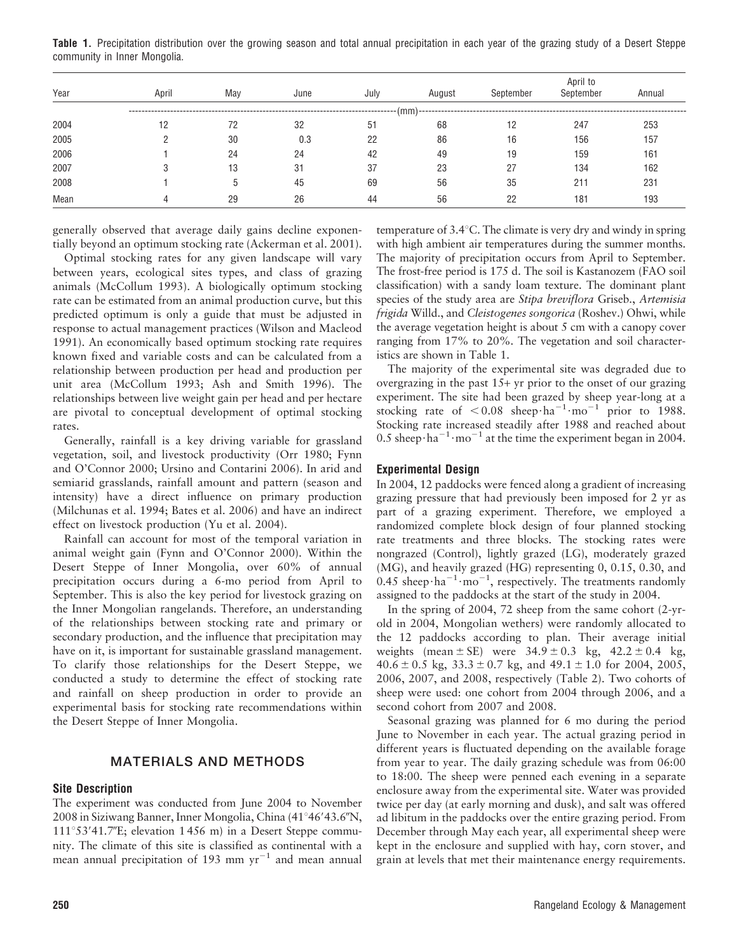Table 1. Precipitation distribution over the growing season and total annual precipitation in each year of the grazing study of a Desert Steppe community in Inner Mongolia.

| Year | April | May | June | July | August | September | September | Annual |
|------|-------|-----|------|------|--------|-----------|-----------|--------|
|      |       |     |      |      | (mm)   |           |           |        |
| 2004 | 12    | 72  | 32   | 51   | 68     | 12        | 247       | 253    |
| 2005 |       | 30  | 0.3  | 22   | 86     | 16        | 156       | 157    |
| 2006 |       | 24  | 24   | 42   | 49     | 19        | 159       | 161    |
| 2007 |       | 13  | -31  | 37   | 23     | 27        | 134       | 162    |
| 2008 |       |     | 45   | 69   | 56     | 35        | 211       | 231    |
| Mean |       | 29  | 26   | 44   | 56     | 22        | 181       | 193    |

generally observed that average daily gains decline exponentially beyond an optimum stocking rate (Ackerman et al. 2001).

Optimal stocking rates for any given landscape will vary between years, ecological sites types, and class of grazing animals (McCollum 1993). A biologically optimum stocking rate can be estimated from an animal production curve, but this predicted optimum is only a guide that must be adjusted in response to actual management practices (Wilson and Macleod 1991). An economically based optimum stocking rate requires known fixed and variable costs and can be calculated from a relationship between production per head and production per unit area (McCollum 1993; Ash and Smith 1996). The relationships between live weight gain per head and per hectare are pivotal to conceptual development of optimal stocking rates.

Generally, rainfall is a key driving variable for grassland vegetation, soil, and livestock productivity (Orr 1980; Fynn and O'Connor 2000; Ursino and Contarini 2006). In arid and semiarid grasslands, rainfall amount and pattern (season and intensity) have a direct influence on primary production (Milchunas et al. 1994; Bates et al. 2006) and have an indirect effect on livestock production (Yu et al. 2004).

Rainfall can account for most of the temporal variation in animal weight gain (Fynn and O'Connor 2000). Within the Desert Steppe of Inner Mongolia, over 60% of annual precipitation occurs during a 6-mo period from April to September. This is also the key period for livestock grazing on the Inner Mongolian rangelands. Therefore, an understanding of the relationships between stocking rate and primary or secondary production, and the influence that precipitation may have on it, is important for sustainable grassland management. To clarify those relationships for the Desert Steppe, we conducted a study to determine the effect of stocking rate and rainfall on sheep production in order to provide an experimental basis for stocking rate recommendations within the Desert Steppe of Inner Mongolia.

# MATERIALS AND METHODS

### Site Description

The experiment was conducted from June 2004 to November  $2008$  in Siziwang Banner, Inner Mongolia, China (41°46′43.6″N,  $111^{\circ}53'41.7''E$ ; elevation 1 456 m) in a Desert Steppe community. The climate of this site is classified as continental with a mean annual precipitation of 193 mm  $yr^{-1}$  and mean annual

temperature of  $3.4^{\circ}$ C. The climate is very dry and windy in spring with high ambient air temperatures during the summer months. The majority of precipitation occurs from April to September. The frost-free period is 175 d. The soil is Kastanozem (FAO soil classification) with a sandy loam texture. The dominant plant species of the study area are Stipa breviflora Griseb., Artemisia frigida Willd., and Cleistogenes songorica (Roshev.) Ohwi, while the average vegetation height is about 5 cm with a canopy cover ranging from 17% to 20%. The vegetation and soil characteristics are shown in Table 1.

The majority of the experimental site was degraded due to overgrazing in the past 15+ yr prior to the onset of our grazing experiment. The site had been grazed by sheep year-long at a stocking rate of  $< 0.08$  sheep $\cdot$ ha<sup>-1</sup> $\cdot$ mo<sup>-1</sup> prior to 1988. Stocking rate increased steadily after 1988 and reached about 0.5 sheep $\cdot$ ha<sup>-1</sup> $\cdot$ mo<sup>-1</sup> at the time the experiment began in 2004.

#### Experimental Design

In 2004, 12 paddocks were fenced along a gradient of increasing grazing pressure that had previously been imposed for 2 yr as part of a grazing experiment. Therefore, we employed a randomized complete block design of four planned stocking rate treatments and three blocks. The stocking rates were nongrazed (Control), lightly grazed (LG), moderately grazed (MG), and heavily grazed (HG) representing 0, 0.15, 0.30, and 0.45 sheep $\cdot$ ha<sup>-1</sup> $\cdot$ mo<sup>-1</sup>, respectively. The treatments randomly assigned to the paddocks at the start of the study in 2004.

In the spring of 2004, 72 sheep from the same cohort (2-yrold in 2004, Mongolian wethers) were randomly allocated to the 12 paddocks according to plan. Their average initial weights (mean  $\pm$  SE) were 34.9  $\pm$  0.3 kg, 42.2  $\pm$  0.4 kg,  $40.6 \pm 0.5$  kg,  $33.3 \pm 0.7$  kg, and  $49.1 \pm 1.0$  for 2004, 2005, 2006, 2007, and 2008, respectively (Table 2). Two cohorts of sheep were used: one cohort from 2004 through 2006, and a second cohort from 2007 and 2008.

Seasonal grazing was planned for 6 mo during the period June to November in each year. The actual grazing period in different years is fluctuated depending on the available forage from year to year. The daily grazing schedule was from 06:00 to 18:00. The sheep were penned each evening in a separate enclosure away from the experimental site. Water was provided twice per day (at early morning and dusk), and salt was offered ad libitum in the paddocks over the entire grazing period. From December through May each year, all experimental sheep were kept in the enclosure and supplied with hay, corn stover, and grain at levels that met their maintenance energy requirements.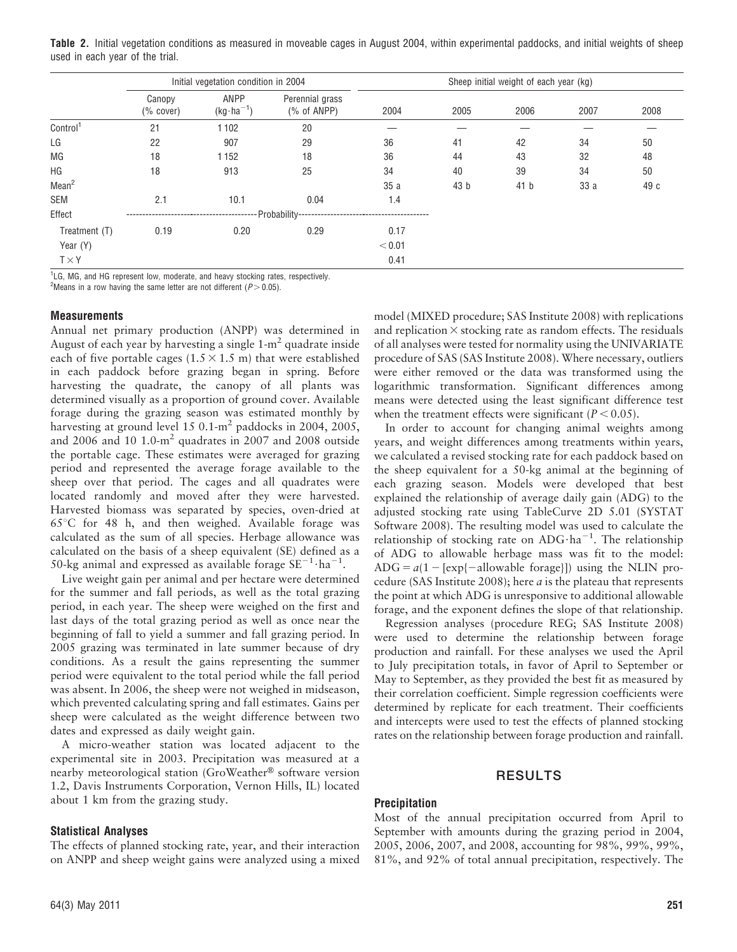Table 2. Initial vegetation conditions as measured in moveable cages in August 2004, within experimental paddocks, and initial weights of sheep used in each year of the trial.

|                      | Initial vegetation condition in 2004 |                              |                                | Sheep initial weight of each year (kg) |      |      |      |      |  |
|----------------------|--------------------------------------|------------------------------|--------------------------------|----------------------------------------|------|------|------|------|--|
|                      | Canopy<br>$(%$ cover)                | ANPP<br>$(kg \cdot ha^{-1})$ | Perennial grass<br>(% of ANPP) | 2004                                   | 2005 | 2006 | 2007 | 2008 |  |
| Control <sup>1</sup> | 21                                   | 1102                         | 20                             |                                        |      |      |      |      |  |
| LG                   | 22                                   | 907                          | 29                             | 36                                     | 41   | 42   | 34   | 50   |  |
| MG                   | 18                                   | 1152                         | 18                             | 36                                     | 44   | 43   | 32   | 48   |  |
| HG                   | 18                                   | 913                          | 25                             | 34                                     | 40   | 39   | 34   | 50   |  |
| Mean <sup>2</sup>    |                                      |                              |                                | 35 a                                   | 43 b | 41 b | 33 a | 49 c |  |
| SEM                  | 2.1                                  | 10.1                         | 0.04                           | 1.4                                    |      |      |      |      |  |
| Effect               |                                      |                              |                                |                                        |      |      |      |      |  |
| Treatment (T)        | 0.19                                 | 0.20                         | 0.29                           | 0.17                                   |      |      |      |      |  |
| Year (Y)             |                                      |                              |                                | < 0.01                                 |      |      |      |      |  |
| $T \times Y$         |                                      |                              |                                | 0.41                                   |      |      |      |      |  |

<sup>1</sup>LG, MG, and HG represent low, moderate, and heavy stocking rates, respectively. <sup>2</sup>Means in a row having the same letter are not different ( $P > 0.05$ ).

#### **Measurements**

Annual net primary production (ANPP) was determined in August of each year by harvesting a single  $1-m^2$  quadrate inside each of five portable cages (1.5  $\times$  1.5 m) that were established in each paddock before grazing began in spring. Before harvesting the quadrate, the canopy of all plants was determined visually as a proportion of ground cover. Available forage during the grazing season was estimated monthly by harvesting at ground level 15 0.1- $m^2$  paddocks in 2004, 2005, and 2006 and 10 1.0-m<sup>2</sup> quadrates in 2007 and 2008 outside the portable cage. These estimates were averaged for grazing period and represented the average forage available to the sheep over that period. The cages and all quadrates were located randomly and moved after they were harvested. Harvested biomass was separated by species, oven-dried at  $65^{\circ}$ C for 48 h, and then weighed. Available forage was calculated as the sum of all species. Herbage allowance was calculated on the basis of a sheep equivalent (SE) defined as a 50-kg animal and expressed as available forage  $SE^{-1}$ ·ha<sup>-1</sup>.

Live weight gain per animal and per hectare were determined for the summer and fall periods, as well as the total grazing period, in each year. The sheep were weighed on the first and last days of the total grazing period as well as once near the beginning of fall to yield a summer and fall grazing period. In 2005 grazing was terminated in late summer because of dry conditions. As a result the gains representing the summer period were equivalent to the total period while the fall period was absent. In 2006, the sheep were not weighed in midseason, which prevented calculating spring and fall estimates. Gains per sheep were calculated as the weight difference between two dates and expressed as daily weight gain.

A micro-weather station was located adjacent to the experimental site in 2003. Precipitation was measured at a nearby meteorological station (GroWeather® software version 1.2, Davis Instruments Corporation, Vernon Hills, IL) located about 1 km from the grazing study.

### Statistical Analyses

The effects of planned stocking rate, year, and their interaction on ANPP and sheep weight gains were analyzed using a mixed model (MIXED procedure; SAS Institute 2008) with replications and replication  $\times$  stocking rate as random effects. The residuals of all analyses were tested for normality using the UNIVARIATE procedure of SAS (SAS Institute 2008). Where necessary, outliers were either removed or the data was transformed using the logarithmic transformation. Significant differences among means were detected using the least significant difference test when the treatment effects were significant ( $P < 0.05$ ).

In order to account for changing animal weights among years, and weight differences among treatments within years, we calculated a revised stocking rate for each paddock based on the sheep equivalent for a 50-kg animal at the beginning of each grazing season. Models were developed that best explained the relationship of average daily gain (ADG) to the adjusted stocking rate using TableCurve 2D 5.01 (SYSTAT Software 2008). The resulting model was used to calculate the relationship of stocking rate on ADG $\cdot$ ha<sup>-1</sup>. The relationship of ADG to allowable herbage mass was fit to the model: ADG =  $a(1 - \text{[exp{-}allowable forage]})$  using the NLIN procedure (SAS Institute 2008); here  $a$  is the plateau that represents the point at which ADG is unresponsive to additional allowable forage, and the exponent defines the slope of that relationship.

Regression analyses (procedure REG; SAS Institute 2008) were used to determine the relationship between forage production and rainfall. For these analyses we used the April to July precipitation totals, in favor of April to September or May to September, as they provided the best fit as measured by their correlation coefficient. Simple regression coefficients were determined by replicate for each treatment. Their coefficients and intercepts were used to test the effects of planned stocking rates on the relationship between forage production and rainfall.

### RESULTS

### Precipitation

Most of the annual precipitation occurred from April to September with amounts during the grazing period in 2004, 2005, 2006, 2007, and 2008, accounting for 98%, 99%, 99%, 81%, and 92% of total annual precipitation, respectively. The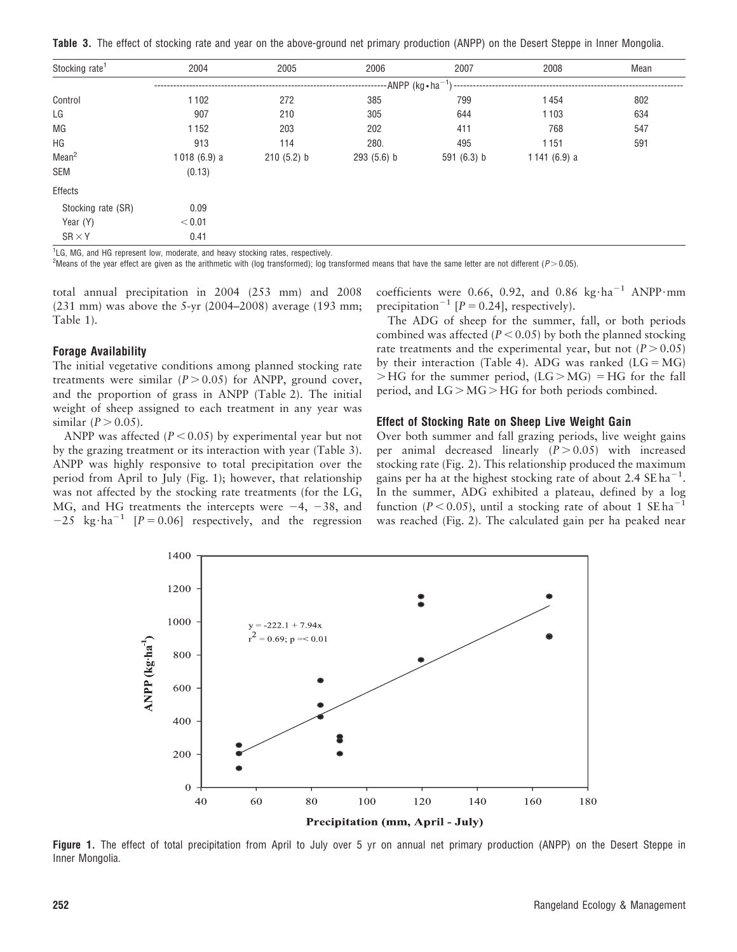Table 3. The effect of stocking rate and year on the above-ground net primary production (ANPP) on the Desert Steppe in Inner Mongolia.

| Stocking rate <sup>1</sup> | 2004                               | 2005       | 2006         | 2007          | 2008           | Mean |  |  |  |
|----------------------------|------------------------------------|------------|--------------|---------------|----------------|------|--|--|--|
|                            | -------ANPP (kg•ha <sup>-1</sup> ) |            |              |               |                |      |  |  |  |
| Control                    | 1102                               | 272        | 385          | 799           | 1454           | 802  |  |  |  |
| LG                         | 907                                | 210        | 305          | 644           | 1103           | 634  |  |  |  |
| MG                         | 1152                               | 203        | 202          | 411           | 768            | 547  |  |  |  |
| ΗG                         | 913                                | 114        | 280.         | 495           | 1151           | 591  |  |  |  |
| Mean <sup>2</sup>          | 1018(6.9) a                        | 210(5.2) b | $293(5.6)$ b | 591 $(6.3)$ b | 1141 $(6.9)$ a |      |  |  |  |
| SEM                        | (0.13)                             |            |              |               |                |      |  |  |  |
| Effects                    |                                    |            |              |               |                |      |  |  |  |
| Stocking rate (SR)         | 0.09                               |            |              |               |                |      |  |  |  |
| Year (Y)                   | < 0.01                             |            |              |               |                |      |  |  |  |
| $SR \times Y$              | 0.41                               |            |              |               |                |      |  |  |  |

1 LG, MG, and HG represent low, moderate, and heavy stocking rates, respectively.

<sup>2</sup>Means of the year effect are given as the arithmetic with (log transformed); log transformed means that have the same letter are not different ( $P > 0.05$ ).

total annual precipitation in 2004 (253 mm) and 2008 (231 mm) was above the 5-yr (2004–2008) average (193 mm; Table 1).

#### Forage Availability

The initial vegetative conditions among planned stocking rate treatments were similar  $(P > 0.05)$  for ANPP, ground cover, and the proportion of grass in ANPP (Table 2). The initial weight of sheep assigned to each treatment in any year was similar  $(P > 0.05)$ .

ANPP was affected ( $P < 0.05$ ) by experimental year but not by the grazing treatment or its interaction with year (Table 3). ANPP was highly responsive to total precipitation over the period from April to July (Fig. 1); however, that relationship was not affected by the stocking rate treatments (for the LG, MG, and HG treatments the intercepts were  $-4$ ,  $-38$ , and  $-25 \text{ kg} \cdot \text{ha}^{-1}$  [P = 0.06] respectively, and the regression

coefficients were 0.66, 0.92, and 0.86 kg·ha<sup>-1</sup> ANPP·mm precipitation<sup>-1</sup>  $[P = 0.24]$ , respectively).

The ADG of sheep for the summer, fall, or both periods combined was affected ( $P < 0.05$ ) by both the planned stocking rate treatments and the experimental year, but not  $(P > 0.05)$ by their interaction (Table 4). ADG was ranked  $(LG = MG)$  $>$ HG for the summer period, (LG $>$ MG) = HG for the fall period, and  $LG > MG > HG$  for both periods combined.

#### Effect of Stocking Rate on Sheep Live Weight Gain

Over both summer and fall grazing periods, live weight gains per animal decreased linearly  $(P > 0.05)$  with increased stocking rate (Fig. 2). This relationship produced the maximum gains per ha at the highest stocking rate of about 2.4  $\text{SE ha}^{-1}$ . In the summer, ADG exhibited a plateau, defined by a log function ( $P < 0.05$ ), until a stocking rate of about 1 SE ha<sup>-1</sup> was reached (Fig. 2). The calculated gain per ha peaked near



Figure 1. The effect of total precipitation from April to July over 5 yr on annual net primary production (ANPP) on the Desert Steppe in Inner Mongolia.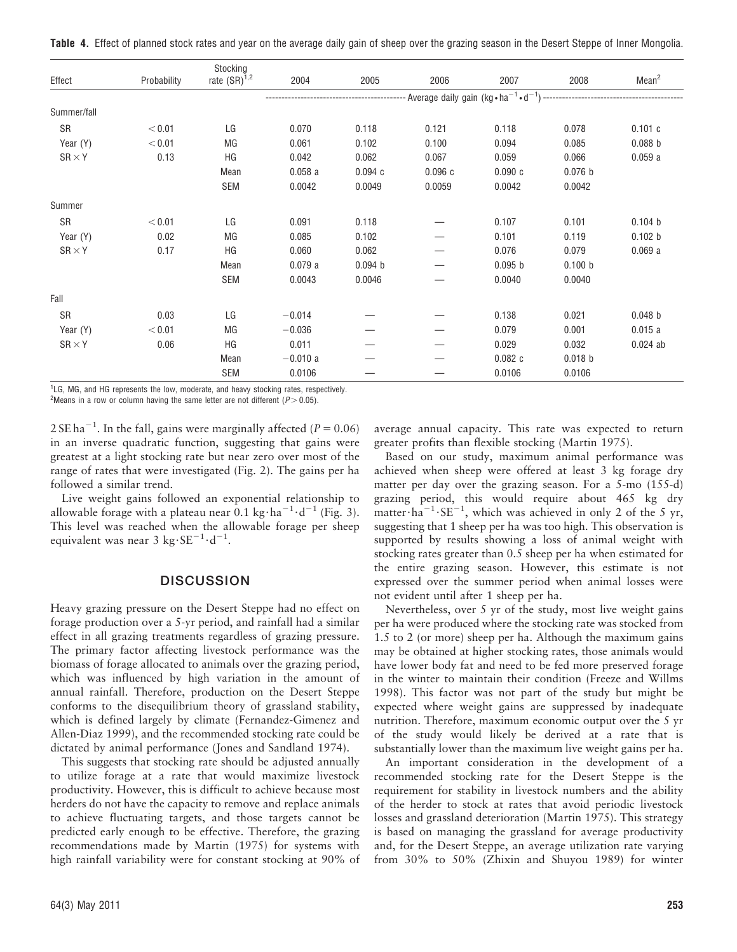Table 4. Effect of planned stock rates and year on the average daily gain of sheep over the grazing season in the Desert Steppe of Inner Mongolia.

|               |             | Stocking          |           |                    |        |                    |                    |                    |  |  |
|---------------|-------------|-------------------|-----------|--------------------|--------|--------------------|--------------------|--------------------|--|--|
| Effect        | Probability | rate $(SR)^{1,2}$ | 2004      | 2005               | 2006   | 2007               | 2008               | Mean <sup>2</sup>  |  |  |
|               |             |                   |           |                    |        |                    |                    |                    |  |  |
| Summer/fall   |             |                   |           |                    |        |                    |                    |                    |  |  |
| SR            | < 0.01      | LG                | 0.070     | 0.118              | 0.121  | 0.118              | 0.078              | 0.101c             |  |  |
| Year (Y)      | < 0.01      | МG                | 0.061     | 0.102              | 0.100  | 0.094              | 0.085              | 0.088 <sub>b</sub> |  |  |
| $SR \times Y$ | 0.13        | ΗG                | 0.042     | 0.062              | 0.067  | 0.059              | 0.066              | 0.059a             |  |  |
|               |             | Mean              | 0.058a    | 0.094c             | 0.096c | 0.090c             | 0.076 b            |                    |  |  |
|               |             | <b>SEM</b>        | 0.0042    | 0.0049             | 0.0059 | 0.0042             | 0.0042             |                    |  |  |
| Summer        |             |                   |           |                    |        |                    |                    |                    |  |  |
| SR            | < 0.01      | LG                | 0.091     | 0.118              |        | 0.107              | 0.101              | 0.104 b            |  |  |
| Year (Y)      | 0.02        | МG                | 0.085     | 0.102              |        | 0.101              | 0.119              | 0.102 b            |  |  |
| $SR \times Y$ | 0.17        | ΗG                | 0.060     | 0.062              |        | 0.076              | 0.079              | 0.069a             |  |  |
|               |             | Mean              | 0.079a    | 0.094 <sub>b</sub> |        | 0.095 <sub>b</sub> | 0.100 b            |                    |  |  |
|               |             | <b>SEM</b>        | 0.0043    | 0.0046             |        | 0.0040             | 0.0040             |                    |  |  |
| Fall          |             |                   |           |                    |        |                    |                    |                    |  |  |
| SR            | 0.03        | LG                | $-0.014$  |                    |        | 0.138              | 0.021              | 0.048 <sub>b</sub> |  |  |
| Year (Y)      | < 0.01      | МG                | $-0.036$  |                    |        | 0.079              | 0.001              | 0.015a             |  |  |
| $SR \times Y$ | 0.06        | ΗG                | 0.011     |                    |        | 0.029              | 0.032              | $0.024$ ab         |  |  |
|               |             | Mean              | $-0.010a$ |                    |        | 0.082c             | 0.018 <sub>b</sub> |                    |  |  |
|               |             | SEM               | 0.0106    |                    |        | 0.0106             | 0.0106             |                    |  |  |

<sup>1</sup>LG, MG, and HG represents the low, moderate, and heavy stocking rates, respectively.

<sup>2</sup> Means in a row or column having the same letter are not different ( $P > 0.05$ ).

2 SE ha<sup>-1</sup>. In the fall, gains were marginally affected ( $P = 0.06$ ) in an inverse quadratic function, suggesting that gains were greatest at a light stocking rate but near zero over most of the range of rates that were investigated (Fig. 2). The gains per ha followed a similar trend.

Live weight gains followed an exponential relationship to allowable forage with a plateau near  $0.1 \text{ kg} \cdot \text{ha}^{-1} \cdot \text{d}^{-1}$  (Fig. 3). This level was reached when the allowable forage per sheep equivalent was near  $3 \text{ kg} \cdot \text{SE}^{-1} \cdot \text{d}^{-1}$ .

### **DISCUSSION**

Heavy grazing pressure on the Desert Steppe had no effect on forage production over a 5-yr period, and rainfall had a similar effect in all grazing treatments regardless of grazing pressure. The primary factor affecting livestock performance was the biomass of forage allocated to animals over the grazing period, which was influenced by high variation in the amount of annual rainfall. Therefore, production on the Desert Steppe conforms to the disequilibrium theory of grassland stability, which is defined largely by climate (Fernandez-Gimenez and Allen-Diaz 1999), and the recommended stocking rate could be dictated by animal performance (Jones and Sandland 1974).

This suggests that stocking rate should be adjusted annually to utilize forage at a rate that would maximize livestock productivity. However, this is difficult to achieve because most herders do not have the capacity to remove and replace animals to achieve fluctuating targets, and those targets cannot be predicted early enough to be effective. Therefore, the grazing recommendations made by Martin (1975) for systems with high rainfall variability were for constant stocking at 90% of

average annual capacity. This rate was expected to return greater profits than flexible stocking (Martin 1975).

Based on our study, maximum animal performance was achieved when sheep were offered at least 3 kg forage dry matter per day over the grazing season. For a 5-mo (155-d) grazing period, this would require about 465 kg dry matter $\cdot$ ha<sup>-1</sup> $\cdot$ SE<sup>-1</sup>, which was achieved in only 2 of the 5 yr, suggesting that 1 sheep per ha was too high. This observation is supported by results showing a loss of animal weight with stocking rates greater than 0.5 sheep per ha when estimated for the entire grazing season. However, this estimate is not expressed over the summer period when animal losses were not evident until after 1 sheep per ha.

Nevertheless, over 5 yr of the study, most live weight gains per ha were produced where the stocking rate was stocked from 1.5 to 2 (or more) sheep per ha. Although the maximum gains may be obtained at higher stocking rates, those animals would have lower body fat and need to be fed more preserved forage in the winter to maintain their condition (Freeze and Willms 1998). This factor was not part of the study but might be expected where weight gains are suppressed by inadequate nutrition. Therefore, maximum economic output over the 5 yr of the study would likely be derived at a rate that is substantially lower than the maximum live weight gains per ha.

An important consideration in the development of a recommended stocking rate for the Desert Steppe is the requirement for stability in livestock numbers and the ability of the herder to stock at rates that avoid periodic livestock losses and grassland deterioration (Martin 1975). This strategy is based on managing the grassland for average productivity and, for the Desert Steppe, an average utilization rate varying from 30% to 50% (Zhixin and Shuyou 1989) for winter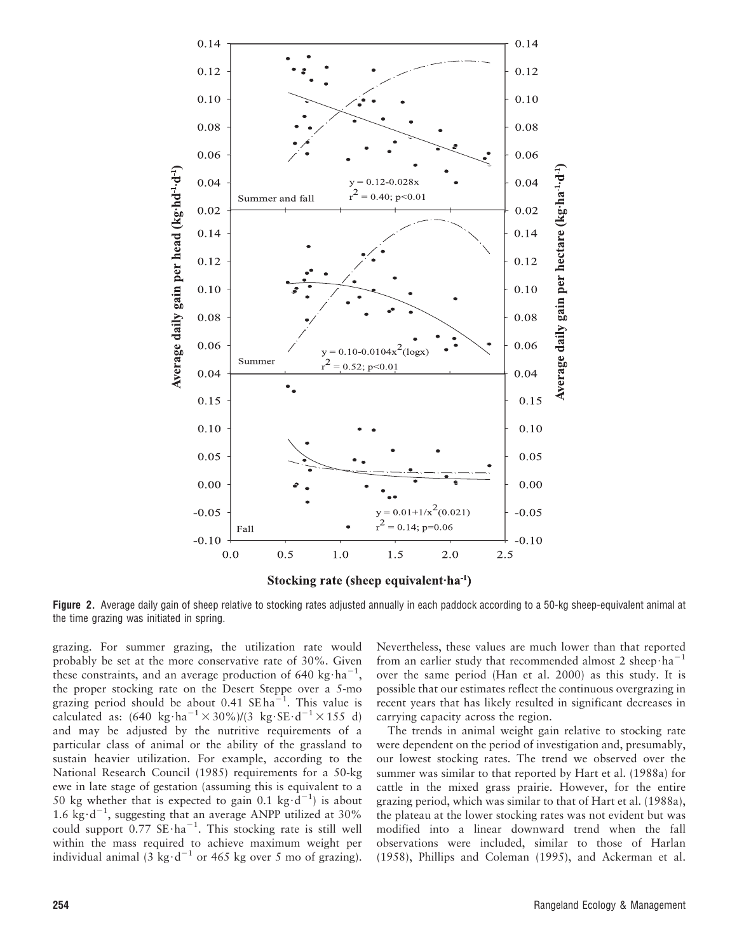

Figure 2. Average daily gain of sheep relative to stocking rates adjusted annually in each paddock according to a 50-kg sheep-equivalent animal at the time grazing was initiated in spring.

grazing. For summer grazing, the utilization rate would probably be set at the more conservative rate of 30%. Given these constraints, and an average production of 640 kg $\cdot$ ha<sup>-1</sup>, the proper stocking rate on the Desert Steppe over a 5-mo grazing period should be about  $0.41 \text{ } \text{SE ha}^{-1}$ . This value is calculated as:  $(640 \text{ kg} \cdot \text{ha}^{-1} \times 30\%)/(3 \text{ kg} \cdot \text{SE} \cdot \text{d}^{-1} \times 155 \text{ d})$ and may be adjusted by the nutritive requirements of a particular class of animal or the ability of the grassland to sustain heavier utilization. For example, according to the National Research Council (1985) requirements for a 50-kg ewe in late stage of gestation (assuming this is equivalent to a 50 kg whether that is expected to gain 0.1 kg $\cdot$ d<sup>-1</sup>) is about 1.6  $kg \cdot d^{-1}$ , suggesting that an average ANPP utilized at 30% could support  $0.77 \text{ SE} \cdot \text{ha}^{-1}$ . This stocking rate is still well within the mass required to achieve maximum weight per individual animal (3 kg·d<sup>-1</sup> or 465 kg over 5 mo of grazing).

Nevertheless, these values are much lower than that reported from an earlier study that recommended almost 2 sheep $\cdot$ ha<sup>-1</sup> over the same period (Han et al. 2000) as this study. It is possible that our estimates reflect the continuous overgrazing in recent years that has likely resulted in significant decreases in carrying capacity across the region.

The trends in animal weight gain relative to stocking rate were dependent on the period of investigation and, presumably, our lowest stocking rates. The trend we observed over the summer was similar to that reported by Hart et al. (1988a) for cattle in the mixed grass prairie. However, for the entire grazing period, which was similar to that of Hart et al. (1988a), the plateau at the lower stocking rates was not evident but was modified into a linear downward trend when the fall observations were included, similar to those of Harlan (1958), Phillips and Coleman (1995), and Ackerman et al.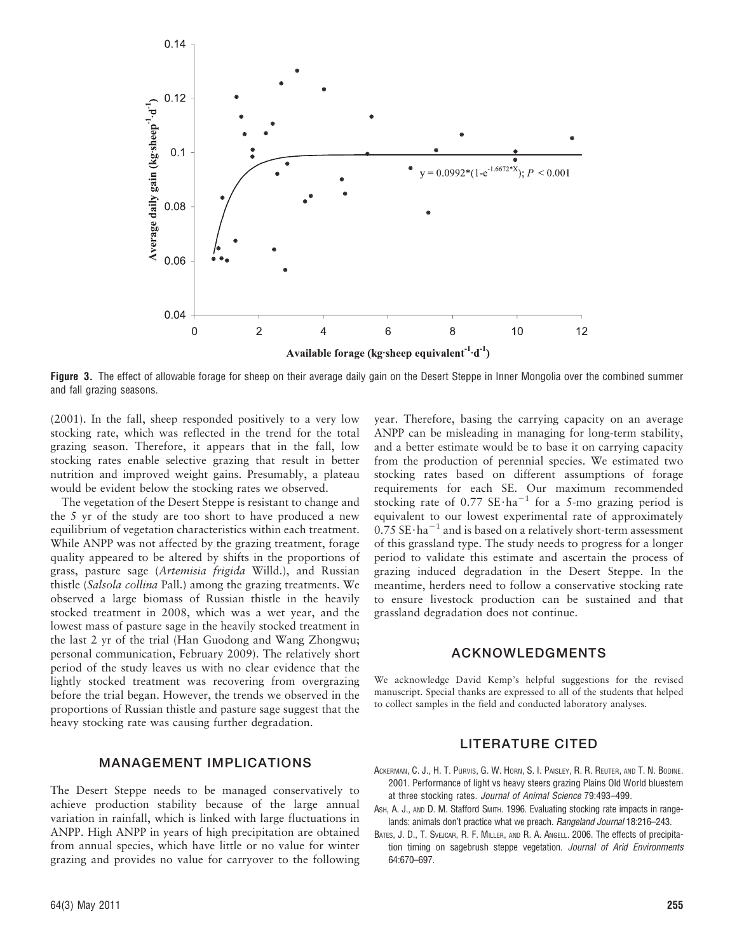

Figure 3. The effect of allowable forage for sheep on their average daily gain on the Desert Steppe in Inner Mongolia over the combined summer and fall grazing seasons.

(2001). In the fall, sheep responded positively to a very low stocking rate, which was reflected in the trend for the total grazing season. Therefore, it appears that in the fall, low stocking rates enable selective grazing that result in better nutrition and improved weight gains. Presumably, a plateau would be evident below the stocking rates we observed.

The vegetation of the Desert Steppe is resistant to change and the 5 yr of the study are too short to have produced a new equilibrium of vegetation characteristics within each treatment. While ANPP was not affected by the grazing treatment, forage quality appeared to be altered by shifts in the proportions of grass, pasture sage (Artemisia frigida Willd.), and Russian thistle (Salsola collina Pall.) among the grazing treatments. We observed a large biomass of Russian thistle in the heavily stocked treatment in 2008, which was a wet year, and the lowest mass of pasture sage in the heavily stocked treatment in the last 2 yr of the trial (Han Guodong and Wang Zhongwu; personal communication, February 2009). The relatively short period of the study leaves us with no clear evidence that the lightly stocked treatment was recovering from overgrazing before the trial began. However, the trends we observed in the proportions of Russian thistle and pasture sage suggest that the heavy stocking rate was causing further degradation.

# MANAGEMENT IMPLICATIONS

The Desert Steppe needs to be managed conservatively to achieve production stability because of the large annual variation in rainfall, which is linked with large fluctuations in ANPP. High ANPP in years of high precipitation are obtained from annual species, which have little or no value for winter grazing and provides no value for carryover to the following year. Therefore, basing the carrying capacity on an average ANPP can be misleading in managing for long-term stability, and a better estimate would be to base it on carrying capacity from the production of perennial species. We estimated two stocking rates based on different assumptions of forage requirements for each SE. Our maximum recommended stocking rate of  $0.77$  SE $\cdot$ ha<sup>-1</sup> for a 5-mo grazing period is equivalent to our lowest experimental rate of approximately  $0.75$  SE $\cdot$ ha<sup>-1</sup> and is based on a relatively short-term assessment of this grassland type. The study needs to progress for a longer period to validate this estimate and ascertain the process of grazing induced degradation in the Desert Steppe. In the meantime, herders need to follow a conservative stocking rate to ensure livestock production can be sustained and that grassland degradation does not continue.

#### ACKNOWLEDGMENTS

We acknowledge David Kemp's helpful suggestions for the revised manuscript. Special thanks are expressed to all of the students that helped to collect samples in the field and conducted laboratory analyses.

### LITERATURE CITED

- ACKERMAN, C. J., H. T. PURVIS, G. W. HORN, S. I. PAISLEY, R. R. REUTER, AND T. N. BODINE. 2001. Performance of light vs heavy steers grazing Plains Old World bluestem at three stocking rates. Journal of Animal Science 79:493–499.
- ASH, A. J., AND D. M. Stafford SMITH. 1996. Evaluating stocking rate impacts in rangelands: animals don't practice what we preach. Rangeland Journal 18:216-243.
- BATES, J. D., T. SVEJCAR, R. F. MILLER, AND R. A. ANGELL. 2006. The effects of precipitation timing on sagebrush steppe vegetation. Journal of Arid Environments 64:670–697.